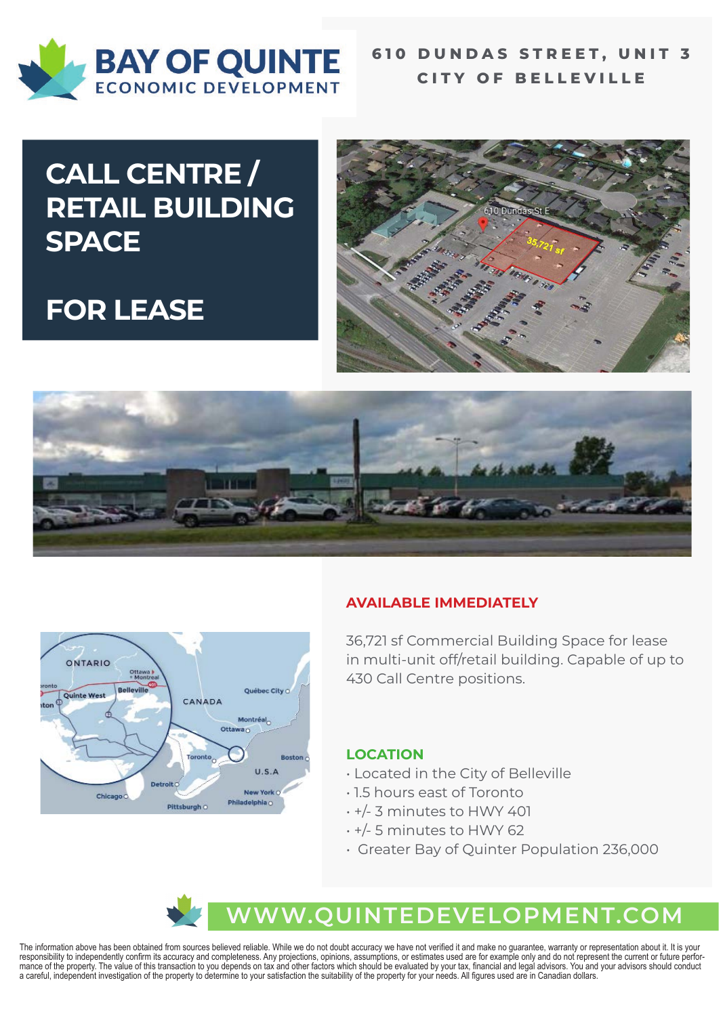

### **610 DUNDAS STREET, UNIT 3 CITY OF BELLEVILLE**

# **CALL CENTRE / RETAIL BUILDING SPACE**

# **FOR LEASE**







### **AVAILABLE IMMEDIATELY**

36,721 sf Commercial Building Space for lease in multi-unit off/retail building. Capable of up to 430 Call Centre positions.

#### **LOCATION**

- Located in the City of Belleville
- 1.5 hours east of Toronto
- +/- 3 minutes to HWY 401
- +/- 5 minutes to HWY 62
- Greater Bay of Quinter Population 236,000

## **WWW.QUINTEDEVELOPMENT.COM**

The information above has been obtained from sources believed reliable. While we do not doubt accuracy we have not verified it and make no guarantee, warranty or representation about it. It is your responsibility to independently confirm its accuracy and completeness. Any projections, opinions, assumptions, or estimates used are for example only and do not represent the current or future performance of the property. The value of this transaction to you depends on tax and other factors which should be evaluated by your tax, financial and legal advisors. You and your advisors should conduct a careful, independent investigation of the property to determine to your satisfaction the suitability of the property for your needs. All figures used are in Canadian dollars.